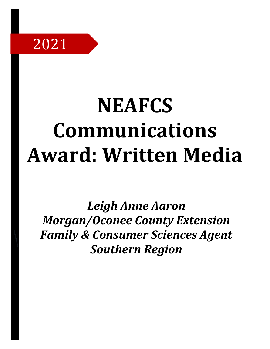

# **NEAFCS Communications Award: Written Media**

*Leigh Anne Aaron Morgan/Oconee County Extension Family & Consumer Sciences Agent Southern Region*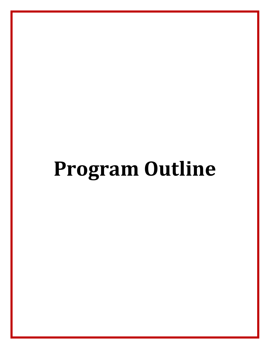# **Program Outline**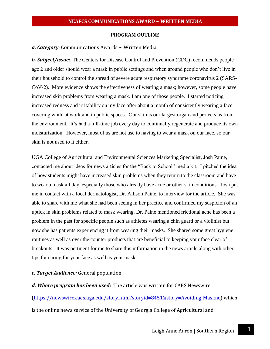#### **PROGRAM OUTLINE**

#### *a. Category:* Communications Awards ~ Written Media

*b. Subject/issue:* The Centers for Disease Control and Prevention (CDC) recommends people age 2 and older should wear a mask in public settings and when around people who don't live in their household to control the spread of severe acute respiratory syndrome coronavirus 2 (SARS-CoV-2). More evidence shows the effectiveness of wearing a mask; however, some people have increased skin problems from wearing a mask. I am one of those people. I started noticing increased redness and irritability on my face after about a month of consistently wearing a face covering while at work and in public spaces. Our skin is our largest organ and protects us from the environment. It's had a full-time job every day to continually regenerate and produce its own moisturization. However, most of us are not use to having to wear a mask on our face, so our skin is not used to it either.

UGA College of Agricultural and Environmental Sciences Marketing Specialist, Josh Paine, contacted me about ideas for news articles for the "Back to School" media kit. I pitched the idea of how students might have increased skin problems when they return to the classroom and have to wear a mask all day, especially those who already have acne or other skin conditions. Josh put me in contact with a local dermatologist, Dr. Allison Paine, to interview for the article. She was able to share with me what she had been seeing in her practice and confirmed my suspicion of an uptick in skin problems related to mask wearing. Dr. Paine mentioned frictional acne has been a problem in the past for specific people such as athletes wearing a chin guard or a violinist but now she has patients experiencing it from wearing their masks. She shared some great hygiene routines as well as over the counter products that are beneficial to keeping your face clear of breakouts. It was pertinent for me to share this information in the news article along with other tips for caring for your face as well as your mask.

#### *c. Target Audience:* General population

#### *d. Where program has been used:* The article was written for CAES Newswire

[\(https://newswire.caes.uga.edu/story.html?storyid=8451&story=Avoiding-Maskne\)](https://newswire.caes.uga.edu/story.html?storyid=8451&story=Avoiding-Maskne) which

is the online news service of the University of Georgia College of Agricultural and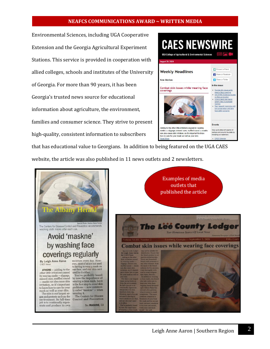#### **NEAFCS COMMUNICATIONS AWARD ~ WRITTEN MEDIA**

Environmental Sciences, including [UGA Cooperative](http://www.caes.uga.edu/extension/)  [Extension](http://www.caes.uga.edu/extension/) and th[e Georgia Agricultural Experiment](http://www.caes.uga.edu/research/index.cfm)  [Stations.](http://www.caes.uga.edu/research/index.cfm) This service is provided in cooperation with allied [colleges,](http://www.fcs.uga.edu/ext/) [schools](http://www.forestry.uga.edu/about/index.php) and institutes of the University of Georgia. For more than 90 years, it has been Georgia's trusted news source for educational information about agriculture, the environment, families and consumer science. They strive to present high-quality, consistent information to [subscribers](http://georgiafaces.caes.uga.edu/index.cfm?public=about#application.IndexPageURL#?public=subscribe)



that has educational value to Georgians. In addition to being featured on the UGA CAES website, the article was also published in 11 news outlets and 2 newsletters.

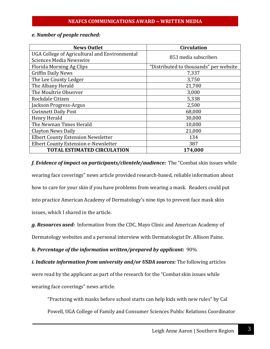### *e. Number of people reached:*

| <b>News Outlet</b>                            | <b>Circulation</b>                     |
|-----------------------------------------------|----------------------------------------|
| UGA College of Agricultural and Environmental |                                        |
| <b>Sciences Media Newswire</b>                | 853 media subscribers                  |
| Florida Morning Ag Clips                      | "Distributed to thousands" per website |
| <b>Griffin Daily News</b>                     | 7,337                                  |
| The Lee County Ledger                         | 3,750                                  |
| The Albany Herald                             | 21,700                                 |
| The Moultrie Observer                         | 3,000                                  |
| Rockdale Citizen                              | 5,338                                  |
| Jackson Progress-Argus                        | 2,500                                  |
| <b>Gwinnett Daily Post</b>                    | 68,000                                 |
| Henry Herald                                  | 30,000                                 |
| The Newnan Times Herald                       | 10,000                                 |
| <b>Clayton News Daily</b>                     | 21,000                                 |
| <b>Elbert County Extension Newsletter</b>     | 134                                    |
| Elbert County Extension e-Newsletter          | 387                                    |
| <b>TOTAL ESTIMATED CIRCULATION</b>            | 174,000                                |

*f. Evidence of impact on participants/clientele/audience:* The "Combat skin issues while wearing face coverings" news article provided research-based, reliable information about how to care for your skin if you have problems from wearing a mask. Readers could put into practice American Academy of Dermatology's nine tips to prevent face mask skin issues, which I shared in the article.

*g. Resources used:* Information from the CDC, Mayo Clinic and American Academy of Dermatology websites and a personal interview with Dermatologist Dr. Allison Paine.

*h. Percentage of the information written/prepared by applicant:* 90%

*i. Indicate information from university and/or USDA sources:* The following articles

were read by the applicant as part of the research for the "Combat skin issues while

wearing face coverings" news article.

"Practicing with masks before school starts can help kids with new rules" by Cal

Powell, UGA College of Family and Consumer Sciences Public Relations Coordinator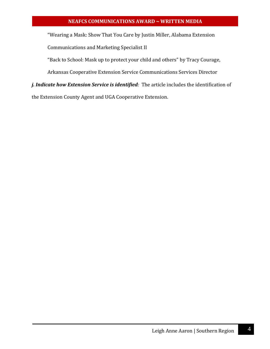### **NEAFCS COMMUNICATIONS AWARD ~ WRITTEN MEDIA**

"Wearing a Mask: Show That You Care by Justin Miller, Alabama Extension

Communications and Marketing Specialist II

"Back to School: Mask up to protect your child and others" by Tracy Courage,

Arkansas Cooperative Extension Service Communications Services Director

*j. Indicate how Extension Service is identified:* The article includes the identification of

the Extension County Agent and UGA Cooperative Extension.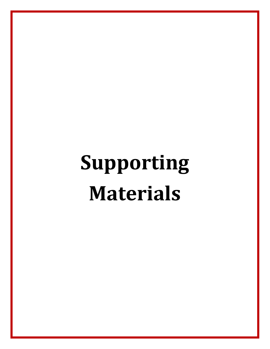# **Supporting Materials**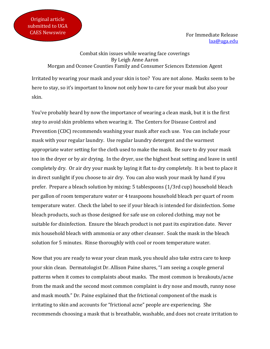For Immediate Release [laa@uga.edu](mailto:laa@uga.edu)

Combat skin issues while wearing face coverings By Leigh Anne Aaron Morgan and Oconee Counties Family and Consumer Sciences Extension Agent

Irritated by wearing your mask and your skin is too? You are not alone. Masks seem to be here to stay, so it's important to know not only how to care for your mask but also your skin.

You've probably heard by now the importance of wearing a clean mask, but it is the first step to avoid skin problems when wearing it. The Centers for Disease Control and Prevention (CDC) recommends washing your mask after each use. You can include your mask with your regular laundry. Use regular laundry detergent and the warmest appropriate water setting for the cloth used to make the mask. Be sure to dry your mask too in the dryer or by air drying. In the dryer, use the highest heat setting and leave in until completely dry. Or air dry your mask by laying it flat to dry completely. It is best to place it in direct sunlight if you choose to air dry. You can also wash your mask by hand if you prefer. Prepare a bleach solution by mixing: 5 tablespoons (1/3rd cup) household bleach per gallon of room temperature water or 4 teaspoons household bleach per quart of room temperature water. Check the label to see if your bleach is intended for disinfection. Some bleach products, such as those designed for safe use on colored clothing, may not be suitable for disinfection. Ensure the bleach product is not past its expiration date. Never mix household bleach with ammonia or any other cleanser. Soak the mask in the bleach solution for 5 minutes. Rinse thoroughly with cool or room temperature water.

Now that you are ready to wear your clean mask, you should also take extra care to keep your skin clean. Dermatologist Dr. Allison Paine shares, "I am seeing a couple general patterns when it comes to complaints about masks. The most common is breakouts/acne from the mask and the second most common complaint is dry nose and mouth, runny nose and mask mouth." Dr. Paine explained that the frictional component of the mask is irritating to skin and accounts for "frictional acne" people are experiencing. She recommends choosing a mask that is breathable, washable, and does not create irritation to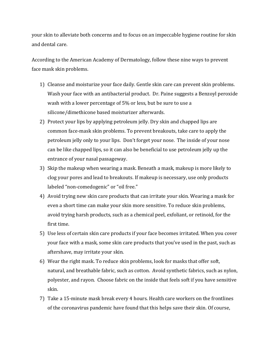your skin to alleviate both concerns and to focus on an impeccable hygiene routine for skin and dental care.

According to the American Academy of Dermatology, follow these nine ways to prevent face mask skin problems.

- 1) Cleanse and moisturize your face daily. Gentle skin care can prevent skin problems. Wash your face with an antibacterial product. Dr. Paine suggests a Benzoyl peroxide wash with a lower percentage of 5% or less, but be sure to use a silicone/dimethicone based moisturizer afterwards.
- 2) Protect your lips by applying petroleum jelly. Dry skin and chapped lips are common face-mask skin problems. To prevent breakouts, take care to apply the petroleum jelly only to your lips. Don't forget your nose. The inside of your nose can be like chapped lips, so it can also be beneficial to use petroleum jelly up the entrance of your nasal passageway.
- 3) Skip the makeup when wearing a mask. Beneath a mask, makeup is more likely to clog your pores and lead to breakouts. If makeup is necessary, use only products labeled "non-comedogenic" or "oil free."
- 4) Avoid trying new skin care products that can irritate your skin. Wearing a mask for even a short time can make your skin more sensitive. To reduce skin problems, avoid trying harsh products, such as a chemical peel, exfoliant, or retinoid, for the first time.
- 5) Use less of certain skin care products if your face becomes irritated. When you cover your face with a mask, some skin care products that you've used in the past, such as aftershave, may irritate your skin.
- 6) Wear the right mask. To reduce skin problems, look for masks that offer soft, natural, and breathable fabric, such as cotton. Avoid synthetic fabrics, such as nylon, polyester, and rayon. Choose fabric on the inside that feels soft if you have sensitive skin.
- 7) Take a 15-minute mask break every 4 hours. Health care workers on the frontlines of the coronavirus pandemic have found that this helps save their skin. Of course,